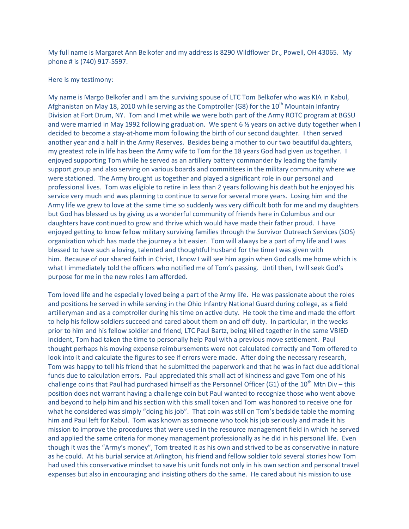My full name is Margaret Ann Belkofer and my address is 8290 Wildflower Dr., Powell, OH 43065. My phone # is (740) 917-5597.

## Here is my testimony:

My name is Margo Belkofer and I am the surviving spouse of LTC Tom Belkofer who was KIA in Kabul, Afghanistan on May 18, 2010 while serving as the Comptroller (G8) for the  $10<sup>th</sup>$  Mountain Infantry Division at Fort Drum, NY. Tom and I met while we were both part of the Army ROTC program at BGSU and were married in May 1992 following graduation. We spent 6 % years on active duty together when I decided to become a stay-at-home mom following the birth of our second daughter. I then served another year and a half in the Army Reserves. Besides being a mother to our two beautiful daughters, my greatest role in life has been the Army wife to Tom for the 18 years God had given us together. I enjoyed supporting Tom while he served as an artillery battery commander by leading the family support group and also serving on various boards and committees in the military community where we were stationed. The Army brought us together and played a significant role in our personal and professional lives. Tom was eligible to retire in less than 2 years following his death but he enjoyed his service very much and was planning to continue to serve for several more years. Losing him and the Army life we grew to love at the same time so suddenly was very difficult both for me and my daughters but God has blessed us by giving us a wonderful community of friends here in Columbus and our daughters have continued to grow and thrive which would have made their father proud. I have enjoyed getting to know fellow military surviving families through the Survivor Outreach Services (SOS) organization which has made the journey a bit easier. Tom will always be a part of my life and I was blessed to have such a loving, talented and thoughtful husband for the time I was given with him. Because of our shared faith in Christ, I know I will see him again when God calls me home which is what I immediately told the officers who notified me of Tom's passing. Until then, I will seek God's purpose for me in the new roles I am afforded.

Tom loved life and he especially loved being a part of the Army life. He was passionate about the roles and positions he served in while serving in the Ohio Infantry National Guard during college, as a field artilleryman and as a comptroller during his time on active duty. He took the time and made the effort to help his fellow soldiers succeed and cared about them on and off duty. In particular, in the weeks prior to him and his fellow soldier and friend, LTC Paul Bartz, being killed together in the same VBIED incident, Tom had taken the time to personally help Paul with a previous move settlement. Paul thought perhaps his moving expense reimbursements were not calculated correctly and Tom offered to look into it and calculate the figures to see if errors were made. After doing the necessary research, Tom was happy to tell his friend that he submitted the paperwork and that he was in fact due additional funds due to calculation errors. Paul appreciated this small act of kindness and gave Tom one of his challenge coins that Paul had purchased himself as the Personnel Officer (G1) of the  $10^{th}$  Mtn Div – this position does not warrant having a challenge coin but Paul wanted to recognize those who went above and beyond to help him and his section with this small token and Tom was honored to receive one for what he considered was simply "doing his job". That coin was still on Tom's bedside table the morning him and Paul left for Kabul. Tom was known as someone who took his job seriously and made it his mission to improve the procedures that were used in the resource management field in which he served and applied the same criteria for money management professionally as he did in his personal life. Even though it was the "Army's money", Tom treated it as his own and strived to be as conservative in nature as he could. At his burial service at Arlington, his friend and fellow soldier told several stories how Tom had used this conservative mindset to save his unit funds not only in his own section and personal travel expenses but also in encouraging and insisting others do the same. He cared about his mission to use